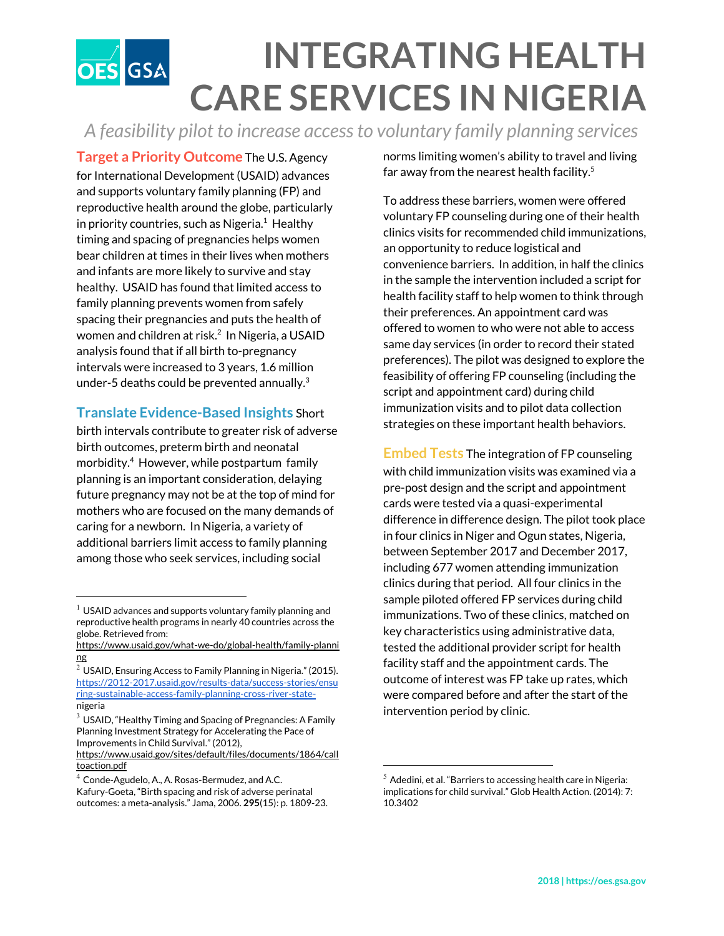## **INTEGRATING HEALTH OES** GSA **CARE SERVICES IN NIGERIA**

*A feasibility pilot to increase accessto voluntary family planning services*

**Target a Priority Outcome** The U.S. Agency for International Development (USAID) advances and supports voluntary family planning (FP) and reproductive health around the globe, particularly in priority countries, such as Nigeria. $1$  Healthy timing and spacing of pregnancies helps women bear children at times in their lives when mothers and infants are more likely to survive and stay healthy. USAID has found that limited access to family planning prevents women from safely spacing their pregnancies and puts the health of women and children at risk. 2 In Nigeria, a USAID analysis found that if all birth to-pregnancy intervals were increased to 3 years, 1.6 million under-5 deaths could be prevented annually. $3$ 

## **Translate Evidence-Based Insights** Short

birth intervals contribute to greater risk of adverse birth outcomes, preterm birth and neonatal morbidity.<sup>4</sup> However, while postpartum family planning is an important consideration, delaying future pregnancy may not be at the top of mind for mothers who are focused on the many demands of caring for a newborn. In Nigeria, a variety of additional barriers limit access to family planning among those who seek services, including social

norms limiting women's ability to travel and living far away from the nearest health facility. 5

To address these barriers, women were offered voluntary FP counseling during one of their health clinics visits for recommended child immunizations, an opportunity to reduce logistical and convenience barriers. In addition, in half the clinics in the sample the intervention included a script for health facility staff to help women to think through their preferences. An appointment card was offered to women to who were not able to access same day services (in order to record their stated preferences). The pilot was designed to explore the feasibility of offering FP counseling (including the script and appointment card) during child immunization visits and to pilot data collection strategies on these important health behaviors.

**Embed Tests** The integration of FP counseling with child immunization visits was examined via a pre-post design and the script and appointment cards were tested via a quasi-experimental difference in difference design. The pilot took place in four clinics in Niger and Ogun states, Nigeria, between September 2017 and December 2017, including 677 women attending immunization clinics during that period. All four clinics in the sample piloted offered FP services during child immunizations. Two of these clinics, matched on key characteristics using administrative data, tested the additional provider script for health facility staff and the appointment cards. The outcome of interest was FP take up rates, which were compared before and after the start of the intervention period by clinic.

 $^1$  USAID advances and supports voluntary family planning and reproductive health programs in nearly 40 countries across the globe. Retrieved from:

https://www.usaid.gov/what-we-do/global-health/family-planni ng

 $2$  USAID, Ensuring Access to Family Planning in Nigeria." (2015). [https://2012-2017.usaid.gov/results-data/success-stories/ensu](https://2012-2017.usaid.gov/results-data/success-stories/ensuring-sustainable-access-family-planning-cross-river-state-) [ring-sustainable-access-family-planning-cross-river-state](https://2012-2017.usaid.gov/results-data/success-stories/ensuring-sustainable-access-family-planning-cross-river-state-)nigeria

 $3$  USAID, "Healthy Timing and Spacing of Pregnancies: A Family Planning Investment Strategy for Accelerating the Pace of Improvements in Child Survival." (2012),

https://www.usaid.gov/sites/default/files/documents/1864/call toaction.pdf

<sup>4</sup> Conde-Agudelo, A., A. Rosas-Bermudez, and A.C. Kafury-Goeta, "Birth spacing and risk of adverse perinatal outcomes: a meta-analysis." Jama, 2006. **295**( 15): p. 1809-23.

 $^5$  Adedini, et al. "Barriers to accessing health care in Nigeria: implications for child survival." Glob Health Action. (2014): 7: 10.3402